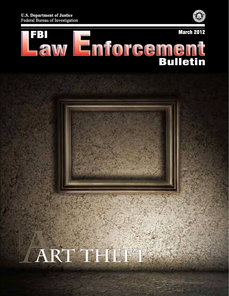

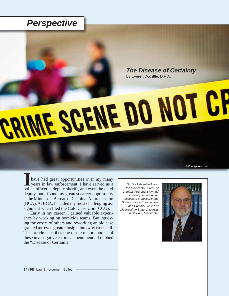## *Perspective*

*The Disease of Certainty* By Everett Doolittle, D.P.A.

# **SCENE DI**  $\overline{\phantom{0}}$ V

have had great opportunities over my many years in law enforcement. I have served as a police officer, a deputy sheriff, and even the chief deputy, but I found my greatest career opportunity at the Minnesota Bureau of Criminal Apprehension (BCA). At BCA, I tackled my most challenging assignment when I led the Cold Case Unit (CCU).

Early in my career, I gained valuable experience by working on homicide teams. But, studying the errors of others and reworking an old case granted me even greater insight into why cases fail. This article describes one of the major sources of these investigative errors: a phenomenon I dubbed the "Disease of Certainty."

*Dr. Doolittle retired from the Minnesota Bureau of Criminal Apprehension and currently serves as an associate professor in the School of Law Enforcement and Criminal Justice at Metropolitan State University in St. Paul, Minnesota.*



© iStockphoto.com

14 / FBI Law Enforcement Bulletin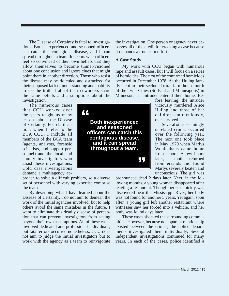The Disease of Certainty is fatal to investigations. Both inexperienced and seasoned officers can catch this contagious disease, and it can spread throughout a team. It occurs when officers feel so convinced of their own beliefs that they allow themselves to become tunnel-visioned about one conclusion and ignore clues that might point them in another direction. Those who resist the disease may be ridiculed and ostracized for their supposed lack of understanding and inability to see the truth if all of their coworkers share the same beliefs and assumptions about the investigation.

The numerous cases that CCU worked over the years taught us many lessons about the Disease of Certainty. For clarification, when I refer to the BCA CCU, I include all members of the BCA team (agents, analysts, forensic scientists, and support personnel) and the local and county investigators who assist these investigations. Cold case investigations demand a multiagency ap-

proach to solve a difficult problem, so a diverse set of personnel with varying expertise comprise the team.

By describing what I have learned about the Disease of Certainty, I do not aim to demean the work of the initial agencies involved, but to help others avoid the same mistakes in the future. I want to eliminate this deadly disease of perception that can prevent investigators from seeing beyond their own assumptions. All of these cases involved dedicated and professional individuals, but fatal errors occurred nonetheless. CCU does not aim to judge the initial investigators but to work with the agency as a team to reinvigorate the investigation. One person or agency never deserves all of the credit for cracking a case because it demands a true team effort.

#### **A Case Study**

My work with CCU began with numerous rape and assault cases, but I will focus on a series of homicides. The first of the confirmed homicides occurred in December 1978. As the Huling family slept in their secluded rural farm house north of the Twin Cities (St. Paul and Minneapolis) in Minnesota, an intruder entered their home. Be-

fore leaving, the intruder viciously murdered Alice Huling and three of her children—miraculously, one survived.

Several other seemingly unrelated crimes occurred over the following year. The next one took place in May 1979 when Marlys Wohlenhaus came home from school. A few hours later, her mother returned from errands and found Marlys severely beaten and unconscious. The girl was

pronounced dead 2 days later. Next, in the following months, a young woman disappeared after leaving a restaurant. Though her car quickly was discovered near the Mississippi River, her body was not found for another 5 years. Yet again, soon after, a young girl left another restaurant where witnesses saw her forced into a vehicle, and her body was found days later.

These cases shocked the surrounding communities. However, because no apparent relationship existed between the crimes, the police departments investigated them individually. Several independent investigations continued for many years. In each of the cases, police identified a

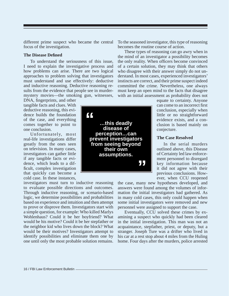different prime suspect who became the central focus of the investigation.

#### **The Disease Defined**

To understand the seriousness of this issue, I need to explain the investigative process and how problems can arise. There are two logical approaches to problem solving that investigators must understand and use effectively: deductive and inductive reasoning. Deductive reasoning results from the evidence that people see in murdermystery movies—the smoking gun, witnesses,

DNA, fingerprints, and other tangible facts and clues. With deductive reasoning, this evidence builds the foundation of the case, and everything comes together to point to one conclusion.

Unfortunately, most real-life investigations differ greatly from the ones seen on television. In many cases, investigators can gather little if any tangible facts or evidence, which leads to a difficult, complex investigation that quickly can become a cold case. In these instances,

investigators must turn to inductive reasoning to evaluate possible directions and outcomes. Through inductive reasoning, or scenario-based logic, we determine possibilities and probabilities based on experience and intuition and then attempt to prove or disprove them. Investigators start with a simple question, for example: Who killed Marlys Wohlenhaus? Could it be her boyfriend? What would be his motive? Could it be her stepfather or the neighbor kid who lives down the block? What would be their motives? Investigators attempt to identify possibilities and eliminate them one by one until only the most probable solution remains.



To the seasoned investigator, this type of reasoning becomes the routine course of action.

These types of reasoning can go awry when in the mind of an investigator a possibility becomes the only reality. When officers become convinced of a certain solution, they may think that others who disagree with their answer simply do not understand. In most cases, experienced investigators' instincts are correct, and their prime suspect indeed committed the crime. Nevertheless, one always must keep an open mind to the facts that disagree with an initial assessment as probability does not

> equate to certainty. Anyone can come to an incorrect first conclusion, especially when little or no straightforward evidence exists, and a conclusion is based mainly on conjecture.

#### **The Case Resolved**

In the serial murders outlined above, this Disease of Certainty led law enforcement personnel to disregard key information because it did not agree with their previous conclusions. However, when CCU reopened

the case, many new hypotheses developed, and answers were found among the volumes of information the initial investigators had gathered. As in many cold cases, this only could happen when some initial investigators were removed and new personnel were assigned to support the case.

Eventually, CCU solved these crimes by examining a suspect who quickly had been cleared in the initial investigation. This man was not an acquaintance, stepfather, priest, or deputy, but a stranger. Joseph Ture was a drifter who lived in his car at a rest stop about 4 miles from the Huling home. Four days after the murders, police arrested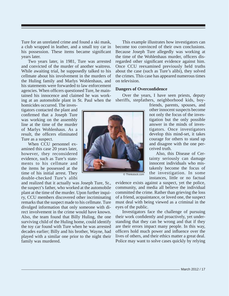Ture for an unrelated crime and found a ski mask, a club wrapped in leather, and a small toy car in his possession. These items became significant years later.

Two years later, in 1981, Ture was arrested and convicted of the murder of another waitress. While awaiting trial, he supposedly talked to his cellmate about his involvement in the murders of the Huling family and Marlys Wohlenhaus, and his statements were forwarded to law enforcement agencies. When officers questioned Ture, he maintained his innocence and claimed he was working at an automobile plant in St. Paul when the

homicides occurred. The investigators contacted the plant and confirmed that a Joseph Ture was working on the assembly line at the time of the murder of Marlys Wohlenhaus. As a result, the officers eliminated Ture as a suspect.

When CCU personnel examined this case 20 years later, however, they reconsidered evidence, such as Ture's statements to his cellmate and the items he possessed at the time of his initial arrest. They double-checked Ture's alibi

and realized that it actually was Joseph Ture, Sr., the suspect's father, who worked at the automobile plant at the time of the murder. Upon further inquiry, CCU members discovered other incriminating remarks that the suspect made to his cellmate. Ture divulged information that only someone with direct involvement in the crime would have known. Also, the team found that Billy Huling, the one surviving child of the Huling home, could identify the toy car found with Ture when he was arrested decades earlier; Billy and his brother, Wayne, had played with a similar one prior to the night their family was murdered.

This example illustrates how investigators can become too convinced of their own conclusions. Because Joseph Ture allegedly was working at the time of the Wohlenhaus murder, officers disregarded other significant evidence against him. Once CCU reexamined previously held truths about the case (such as Ture's alibi), they solved the crimes. This case has appeared numerous times on television.

#### **Dangers of Overconfidence**

Over the years, I have seen priests, deputy sheriffs, stepfathers, neighborhood kids, boy-

> friends, parents, spouses, and other innocent suspects become not only the focus of the investigation but the only possible answer in the minds of investigators. Once investigators develop this mind-set, it takes courage for others to stand up and disagree with the one perceived truth.

> Also, this Disease of Certainty seriously can damage innocent individuals who mistakenly become the focus of the investigation. In some instances, little or no factual

evidence exists against a suspect, yet the police, community, and media all believe the individual committed the crime. Rather than grieving the loss of a friend, acquaintance, or loved one, the suspect must deal with being viewed as a criminal in the eyes of the public.

Investigators face the challenge of pursuing their work confidently and proactively, yet understanding that they can be wrong and that if they are their errors impact many people. In this way, officers hold much power and influence over the lives of others, and their ethics matter a great deal. Police may want to solve cases quickly by relying

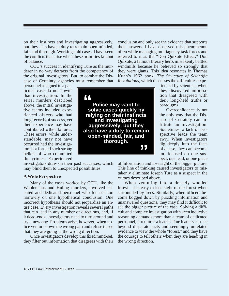on their instincts and investigating aggressively, but they also have a duty to remain open-minded, fair, and thorough. Working cold cases, I have seen the conflicts that arise when these priorities fall out of balance.

CCU's success in identifying Ture as the murderer in no way detracts from the competency of the original investigators. But, to combat the Disease of Certainty, agencies must remember that

personnel assigned to a particular case do not "own" that investigation. In the serial murders described above, the initial investigative teams included experienced officers who had long records of success, yet their experience may have contributed to their failures. These errors, while understandable, may not have occurred had the investigators not formed such strong beliefs of who committed the crimes. Experienced

investigators draw on their past successes, which may blind them to unexpected possibilities.

#### **A Wide Perspective**

Many of the cases worked by CCU, like the Wohlenhaus and Huling murders, involved talented and dedicated personnel who focused too narrowly on one hypothetical conclusion. One incorrect hypothesis should not jeopardize an entire case. Every investigation reveals several paths that can lead in any number of directions, and, if it dead-ends, investigators need to turn around and try a new one. Problems arise, however, when police venture down the wrong path and refuse to see that they are going in the wrong direction.

Once investigators develop this fixed mind-set, they filter out information that disagrees with their



conclusion and only see the evidence that supports their answers. I have observed this phenomenon often while managing multiagency task forces and referred to it as the "Don Quixote Effect." Don Quixote, a famous literary hero, mistakenly battled windmills because he believed so strongly that they were giants. This idea resonates in Thomas Kuhn's 1962 book, *The Structure of Scientific Revolutions,* which discusses the difficulties expe-

> rienced by scientists when they discovered information that disagreed with their long-held truths or paradigms.

> Overconfidence is not the only way that the Disease of Certainty can infiltrate an investigation. Sometimes, a lack of perspective leads the team awry. When investigators dig deeply into the facts of a case, they can become too focused on one suspect, one lead, or one piece

of information and lose sight of the bigger picture. This line of thinking caused investigators to mistakenly eliminate Joseph Ture as a suspect in the crimes described above.

When venturing into a densely wooded forest—it is easy to lose sight of the forest when surrounded by trees. Similarly, when officers become bogged down by puzzling information and unanswered questions, they may find it difficult to see the bigger picture of the case. Solving a difficult and complex investigation with keen inductive reasoning demands more than a team of dedicated personnel; it requires a leader. True leaders can see beyond disparate facts and seemingly unrelated evidence to view the whole "forest," and they have the courage to tell others when they are heading in the wrong direction.